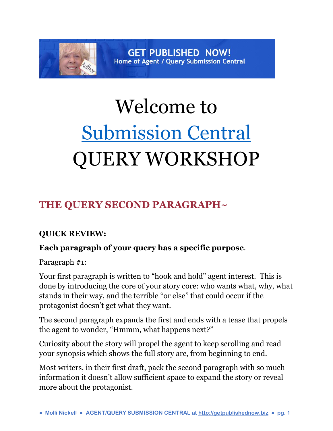# **GET PUBLISHED NOW!** Home of Agent / Query Submission Central

# Welcome to [Submission Central](http://www.getpublishednow.biz/)  QUERY WORKSHOP

# **THE QUERY SECOND PARAGRAPH~**

# **QUICK REVIEW:**

# **Each paragraph of your query has a specific purpose**.

Paragraph #1:

Your first paragraph is written to "hook and hold" agent interest. This is done by introducing the core of your story core: who wants what, why, what stands in their way, and the terrible "or else" that could occur if the protagonist doesn't get what they want.

The second paragraph expands the first and ends with a tease that propels the agent to wonder, "Hmmm, what happens next?"

Curiosity about the story will propel the agent to keep scrolling and read your synopsis which shows the full story arc, from beginning to end.

Most writers, in their first draft, pack the second paragraph with so much information it doesn't allow sufficient space to expand the story or reveal more about the protagonist.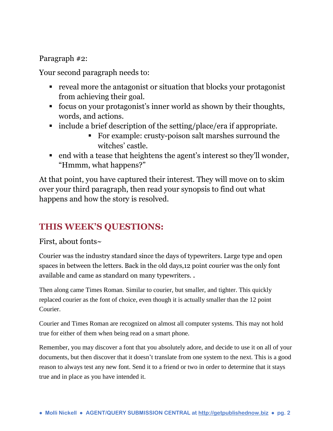#### Paragraph #2:

Your second paragraph needs to:

- reveal more the antagonist or situation that blocks your protagonist from achieving their goal.
- focus on your protagonist's inner world as shown by their thoughts, words, and actions.
- include a brief description of the setting/place/era if appropriate.
	- For example: crusty-poison salt marshes surround the witches' castle.
- end with a tease that heightens the agent's interest so they'll wonder, "Hmmm, what happens?"

At that point, you have captured their interest. They will move on to skim over your third paragraph, then read your synopsis to find out what happens and how the story is resolved.

# **THIS WEEK'S QUESTIONS:**

#### First, about fonts~

Courier was the industry standard since the days of typewriters. Large type and open spaces in between the letters. Back in the old days,12 point courier was the only font available and came as standard on many typewriters. .

Then along came Times Roman. Similar to courier, but smaller, and tighter. This quickly replaced courier as the font of choice, even though it is actually smaller than the 12 point Courier.

Courier and Times Roman are recognized on almost all computer systems. This may not hold true for either of them when being read on a smart phone.

Remember, you may discover a font that you absolutely adore, and decide to use it on all of your documents, but then discover that it doesn't translate from one system to the next. This is a good reason to always test any new font. Send it to a friend or two in order to determine that it stays true and in place as you have intended it.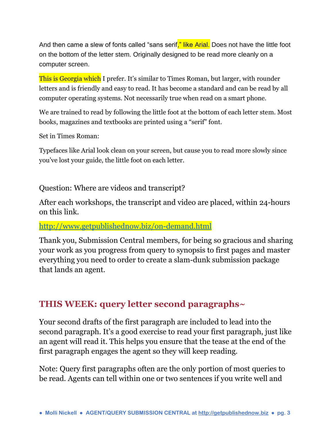And then came a slew of fonts called "sans serif," like Arial. Does not have the little foot on the bottom of the letter stem. Originally designed to be read more cleanly on a computer screen.

This is Georgia which I prefer. It's similar to Times Roman, but larger, with rounder letters and is friendly and easy to read. It has become a standard and can be read by all computer operating systems. Not necessarily true when read on a smart phone.

We are trained to read by following the little foot at the bottom of each letter stem. Most books, magazines and textbooks are printed using a "serif" font.

Set in Times Roman:

Typefaces like Arial look clean on your screen, but cause you to read more slowly since you've lost your guide, the little foot on each letter.

#### Question: Where are videos and transcript?

After each workshops, the transcript and video are placed, within 24-hours on this link.

#### <http://www.getpublishednow.biz/on-demand.html>

Thank you, Submission Central members, for being so gracious and sharing your work as you progress from query to synopsis to first pages and master everything you need to order to create a slam-dunk submission package that lands an agent.

# **THIS WEEK: query letter second paragraphs~**

Your second drafts of the first paragraph are included to lead into the second paragraph. It's a good exercise to read your first paragraph, just like an agent will read it. This helps you ensure that the tease at the end of the first paragraph engages the agent so they will keep reading.

Note: Query first paragraphs often are the only portion of most queries to be read. Agents can tell within one or two sentences if you write well and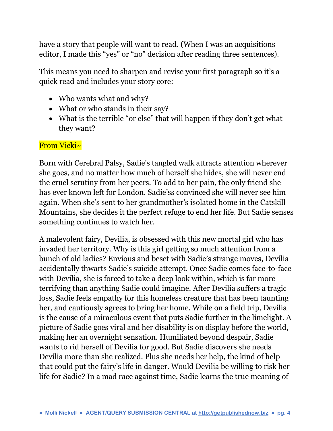have a story that people will want to read. (When I was an acquisitions editor, I made this "yes" or "no" decision after reading three sentences).

This means you need to sharpen and revise your first paragraph so it's a quick read and includes your story core:

- Who wants what and why?
- What or who stands in their say?
- What is the terrible "or else" that will happen if they don't get what they want?

#### From Vicki~

Born with Cerebral Palsy, Sadie's tangled walk attracts attention wherever she goes, and no matter how much of herself she hides, she will never end the cruel scrutiny from her peers. To add to her pain, the only friend she has ever known left for London. Sadie'ss convinced she will never see him again. When she's sent to her grandmother's isolated home in the Catskill Mountains, she decides it the perfect refuge to end her life. But Sadie senses something continues to watch her.

A malevolent fairy, Devilia, is obsessed with this new mortal girl who has invaded her territory. Why is this girl getting so much attention from a bunch of old ladies? Envious and beset with Sadie's strange moves, Devilia accidentally thwarts Sadie's suicide attempt. Once Sadie comes face-to-face with Devilia, she is forced to take a deep look within, which is far more terrifying than anything Sadie could imagine. After Devilia suffers a tragic loss, Sadie feels empathy for this homeless creature that has been taunting her, and cautiously agrees to bring her home. While on a field trip, Devilia is the cause of a miraculous event that puts Sadie further in the limelight. A picture of Sadie goes viral and her disability is on display before the world, making her an overnight sensation. Humiliated beyond despair, Sadie wants to rid herself of Devilia for good. But Sadie discovers she needs Devilia more than she realized. Plus she needs her help, the kind of help that could put the fairy's life in danger. Would Devilia be willing to risk her life for Sadie? In a mad race against time, Sadie learns the true meaning of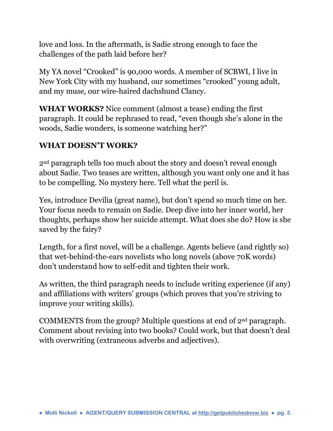love and loss. In the aftermath, is Sadie strong enough to face the challenges of the path laid before her?

My YA novel "Crooked" is 90,000 words. A member of SCBWI, I live in New York City with my husband, our sometimes "crooked" young adult, and my muse, our wire-haired dachshund Clancy.

**WHAT WORKS?** Nice comment (almost a tease) ending the first paragraph. It could be rephrased to read, "even though she's alone in the woods, Sadie wonders, is someone watching her?"

## **WHAT DOESN'T WORK?**

2nd paragraph tells too much about the story and doesn't reveal enough about Sadie. Two teases are written, although you want only one and it has to be compelling. No mystery here. Tell what the peril is.

Yes, introduce Devilia (great name), but don't spend so much time on her. Your focus needs to remain on Sadie. Deep dive into her inner world, her thoughts, perhaps show her suicide attempt. What does she do? How is she saved by the fairy?

Length, for a first novel, will be a challenge. Agents believe (and rightly so) that wet-behind-the-ears novelists who long novels (above 70K words) don't understand how to self-edit and tighten their work.

As written, the third paragraph needs to include writing experience (if any) and affiliations with writers' groups (which proves that you're striving to improve your writing skills).

COMMENTS from the group? Multiple questions at end of 2nd paragraph. Comment about revising into two books? Could work, but that doesn't deal with overwriting (extraneous adverbs and adjectives).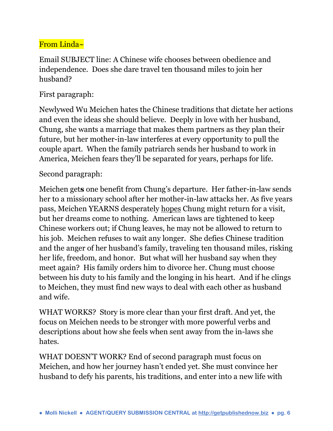# From Linda~

Email SUBJECT line: A Chinese wife chooses between obedience and independence. Does she dare travel ten thousand miles to join her husband?

#### First paragraph:

Newlywed Wu Meichen hates the Chinese traditions that dictate her actions and even the ideas she should believe. Deeply in love with her husband, Chung, she wants a marriage that makes them partners as they plan their future, but her mother-in-law interferes at every opportunity to pull the couple apart. When the family patriarch sends her husband to work in America, Meichen fears they'll be separated for years, perhaps for life.

#### Second paragraph:

Meichen get**s** one benefit from Chung's departure. Her father-in-law sends her to a missionary school after her mother-in-law attacks her. As five years pass, Meichen YEARNS desperately hopes Chung might return for a visit, but her dreams come to nothing. American laws are tightened to keep Chinese workers out; if Chung leaves, he may not be allowed to return to his job. Meichen refuses to wait any longer. She defies Chinese tradition and the anger of her husband's family, traveling ten thousand miles, risking her life, freedom, and honor. But what will her husband say when they meet again? His family orders him to divorce her. Chung must choose between his duty to his family and the longing in his heart. And if he clings to Meichen, they must find new ways to deal with each other as husband and wife.

WHAT WORKS? Story is more clear than your first draft. And yet, the focus on Meichen needs to be stronger with more powerful verbs and descriptions about how she feels when sent away from the in-laws she hates.

WHAT DOESN'T WORK? End of second paragraph must focus on Meichen, and how her journey hasn't ended yet. She must convince her husband to defy his parents, his traditions, and enter into a new life with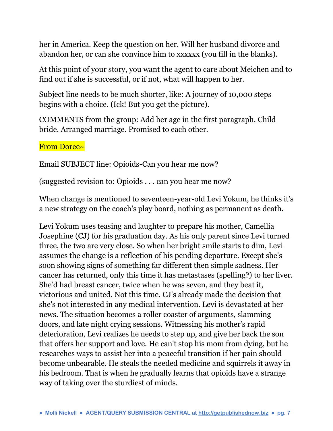her in America. Keep the question on her. Will her husband divorce and abandon her, or can she convince him to xxxxxx (you fill in the blanks).

At this point of your story, you want the agent to care about Meichen and to find out if she is successful, or if not, what will happen to her.

Subject line needs to be much shorter, like: A journey of 10,000 steps begins with a choice. (Ick! But you get the picture).

COMMENTS from the group: Add her age in the first paragraph. Child bride. Arranged marriage. Promised to each other.

#### From Doree~

Email SUBJECT line: Opioids-Can you hear me now?

(suggested revision to: Opioids . . . can you hear me now?

When change is mentioned to seventeen-year-old Levi Yokum, he thinks it's a new strategy on the coach's play board, nothing as permanent as death.

Levi Yokum uses teasing and laughter to prepare his mother, Camellia Josephine (CJ) for his graduation day. As his only parent since Levi turned three, the two are very close. So when her bright smile starts to dim, Levi assumes the change is a reflection of his pending departure. Except she's soon showing signs of something far different then simple sadness. Her cancer has returned, only this time it has metastases (spelling?) to her liver. She'd had breast cancer, twice when he was seven, and they beat it, victorious and united. Not this time. CJ's already made the decision that she's not interested in any medical intervention. Levi is devastated at her news. The situation becomes a roller coaster of arguments, slamming doors, and late night crying sessions. Witnessing his mother's rapid deterioration, Levi realizes he needs to step up, and give her back the son that offers her support and love. He can't stop his mom from dying, but he researches ways to assist her into a peaceful transition if her pain should become unbearable. He steals the needed medicine and squirrels it away in his bedroom. That is when he gradually learns that opioids have a strange way of taking over the sturdiest of minds.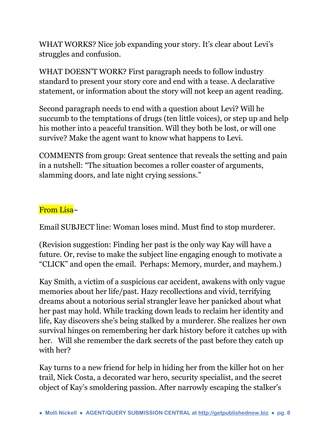WHAT WORKS? Nice job expanding your story. It's clear about Levi's struggles and confusion.

WHAT DOESN'T WORK? First paragraph needs to follow industry standard to present your story core and end with a tease. A declarative statement, or information about the story will not keep an agent reading.

Second paragraph needs to end with a question about Levi? Will he succumb to the temptations of drugs (ten little voices), or step up and help his mother into a peaceful transition. Will they both be lost, or will one survive? Make the agent want to know what happens to Levi.

COMMENTS from group: Great sentence that reveals the setting and pain in a nutshell: "The situation becomes a roller coaster of arguments, slamming doors, and late night crying sessions."

#### From Lisa~

Email SUBJECT line: Woman loses mind. Must find to stop murderer.

(Revision suggestion: Finding her past is the only way Kay will have a future. Or, revise to make the subject line engaging enough to motivate a "CLICK" and open the email. Perhaps: Memory, murder, and mayhem.)

Kay Smith, a victim of a suspicious car accident, awakens with only vague memories about her life/past. Hazy recollections and vivid, terrifying dreams about a notorious serial strangler leave her panicked about what her past may hold. While tracking down leads to reclaim her identity and life, Kay discovers she's being stalked by a murderer. She realizes her own survival hinges on remembering her dark history before it catches up with her. Will she remember the dark secrets of the past before they catch up with her?

Kay turns to a new friend for help in hiding her from the killer hot on her trail, Nick Costa, a decorated war hero, security specialist, and the secret object of Kay's smoldering passion. After narrowly escaping the stalker's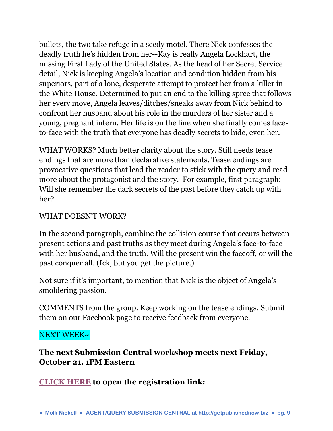bullets, the two take refuge in a seedy motel. There Nick confesses the deadly truth he's hidden from her--Kay is really Angela Lockhart, the missing First Lady of the United States. As the head of her Secret Service detail, Nick is keeping Angela's location and condition hidden from his superiors, part of a lone, desperate attempt to protect her from a killer in the White House. Determined to put an end to the killing spree that follows her every move, Angela leaves/ditches/sneaks away from Nick behind to confront her husband about his role in the murders of her sister and a young, pregnant intern. Her life is on the line when she finally comes faceto-face with the truth that everyone has deadly secrets to hide, even her.

WHAT WORKS? Much better clarity about the story. Still needs tease endings that are more than declarative statements. Tease endings are provocative questions that lead the reader to stick with the query and read more about the protagonist and the story. For example, first paragraph: Will she remember the dark secrets of the past before they catch up with her?

#### WHAT DOESN'T WORK?

In the second paragraph, combine the collision course that occurs between present actions and past truths as they meet during Angela's face-to-face with her husband, and the truth. Will the present win the faceoff, or will the past conquer all. (Ick, but you get the picture.)

Not sure if it's important, to mention that Nick is the object of Angela's smoldering passion.

COMMENTS from the group. Keep working on the tease endings. Submit them on our Facebook page to receive feedback from everyone.

#### NEXT WEEK~

# **The next Submission Central workshop meets next Friday, October 21. 1PM Eastern**

# **[CLICK HERE](https://zoom.us/webinar/register/2b511c2a10dda9837510d14dfea9e911) to open the registration link:**